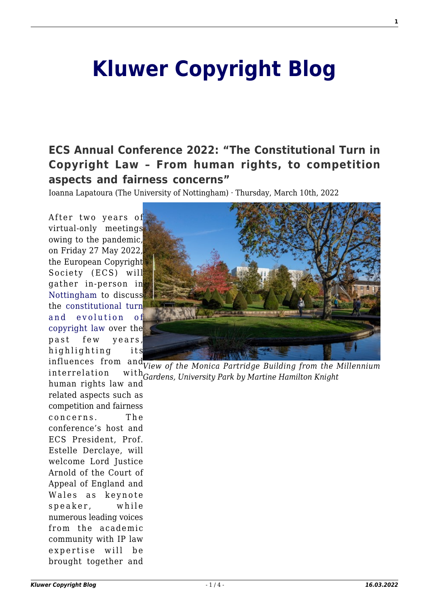## **[Kluwer Copyright Blog](http://copyrightblog.kluweriplaw.com/)**

**[ECS Annual Conference 2022: "The Constitutional Turn in](http://copyrightblog.kluweriplaw.com/2022/03/10/ecs-annual-conference-2022-the-constitutional-turn-in-copyright-law-from-human-rights-to-competition-aspects-and-fairness-concerns/) [Copyright Law – From human rights, to competition](http://copyrightblog.kluweriplaw.com/2022/03/10/ecs-annual-conference-2022-the-constitutional-turn-in-copyright-law-from-human-rights-to-competition-aspects-and-fairness-concerns/) [aspects and fairness concerns"](http://copyrightblog.kluweriplaw.com/2022/03/10/ecs-annual-conference-2022-the-constitutional-turn-in-copyright-law-from-human-rights-to-competition-aspects-and-fairness-concerns/)**

Ioanna Lapatoura (The University of Nottingham) · Thursday, March 10th, 2022

After two years of virtual-only meetings owing to the pandemic, on Friday 27 May 2022, the European Copyright Society (ECS) will gather in-person in [Nottingham](https://www.visit-nottinghamshire.co.uk/) to discuss the [constitutional turn](https://europeancopyrightsociety.org/conferences-2022/) [and evolution of](https://europeancopyrightsociety.org/conferences-2022/) [copyright law](https://europeancopyrightsociety.org/conferences-2022/) over the past few years, highlighting its



influences from and *View of the Monica Partridge Building from the Millennium Gardens, University Park by Martine Hamilton Knight* interrelation human rights law and

related aspects such as competition and fairness concerns. The conference's host and ECS President, Prof. Estelle Derclaye, will welcome Lord Justice Arnold of the Court of Appeal of England and Wales as keynote speaker, while numerous leading voices from the academic community with IP law expertise will be brought together and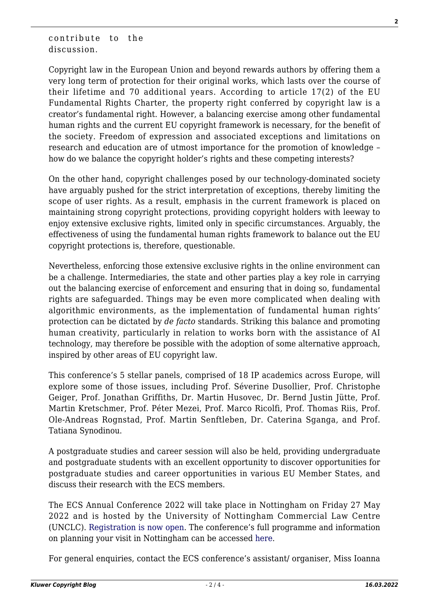contribute to the discussion.

Copyright law in the European Union and beyond rewards authors by offering them a very long term of protection for their original works, which lasts over the course of their lifetime and 70 additional years. According to article 17(2) of the EU Fundamental Rights Charter, the property right conferred by copyright law is a creator's fundamental right. However, a balancing exercise among other fundamental human rights and the current EU copyright framework is necessary, for the benefit of the society. Freedom of expression and associated exceptions and limitations on research and education are of utmost importance for the promotion of knowledge – how do we balance the copyright holder's rights and these competing interests?

On the other hand, copyright challenges posed by our technology-dominated society have arguably pushed for the strict interpretation of exceptions, thereby limiting the scope of user rights. As a result, emphasis in the current framework is placed on maintaining strong copyright protections, providing copyright holders with leeway to enjoy extensive exclusive rights, limited only in specific circumstances. Arguably, the effectiveness of using the fundamental human rights framework to balance out the EU copyright protections is, therefore, questionable.

Nevertheless, enforcing those extensive exclusive rights in the online environment can be a challenge. Intermediaries, the state and other parties play a key role in carrying out the balancing exercise of enforcement and ensuring that in doing so, fundamental rights are safeguarded. Things may be even more complicated when dealing with algorithmic environments, as the implementation of fundamental human rights' protection can be dictated by *de facto* standards. Striking this balance and promoting human creativity, particularly in relation to works born with the assistance of AI technology, may therefore be possible with the adoption of some alternative approach, inspired by other areas of EU copyright law.

This conference's 5 stellar panels, comprised of 18 IP academics across Europe, will explore some of those issues, including Prof. Séverine Dusollier, Prof. Christophe Geiger, Prof. Jonathan Griffiths, Dr. Martin Husovec, Dr. Bernd Justin Jütte, Prof. Martin Kretschmer, Prof. Péter Mezei, Prof. Marco Ricolfi, Prof. Thomas Riis, Prof. Ole-Andreas Rognstad, Prof. Martin Senftleben, Dr. Caterina Sganga, and Prof. Tatiana Synodinou.

A postgraduate studies and career session will also be held, providing undergraduate and postgraduate students with an excellent opportunity to discover opportunities for postgraduate studies and career opportunities in various EU Member States, and discuss their research with the ECS members.

The ECS Annual Conference 2022 will take place in Nottingham on Friday 27 May 2022 and is hosted by the University of Nottingham Commercial Law Centre (UNCLC). [Registration is now open.](https://store.nottingham.ac.uk/conferences-and-events/conferences/schools-and-departments/law/european-copyright-society-conference) The conference's full programme and information on planning your visit in Nottingham can be accessed [here](https://europeancopyrightsociety.org/conferences-2022/).

For general enquiries, contact the ECS conference's assistant/ organiser, Miss Ioanna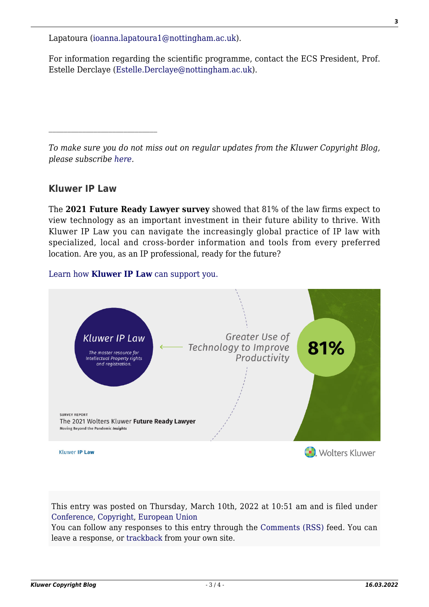Lapatoura [\(ioanna.lapatoura1@nottingham.ac.uk\)](mailto:ioanna.lapatoura1@nottingham.ac.uk).

For information regarding the scientific programme, contact the ECS President, Prof. Estelle Derclaye ([Estelle.Derclaye@nottingham.ac.uk\)](mailto:Estelle.Derclaye@nottingham.ac.uk).

*To make sure you do not miss out on regular updates from the Kluwer Copyright Blog, please subscribe [here.](http://copyrightblog.kluweriplaw.com/newsletter)*

## **Kluwer IP Law**

The **2021 Future Ready Lawyer survey** showed that 81% of the law firms expect to view technology as an important investment in their future ability to thrive. With Kluwer IP Law you can navigate the increasingly global practice of IP law with specialized, local and cross-border information and tools from every preferred location. Are you, as an IP professional, ready for the future?

## [Learn how](https://www.wolterskluwer.com/en/solutions/kluweriplaw?utm_source=copyrightnblog&utm_medium=articleCTA&utm_campaign=article-banner) **[Kluwer IP Law](https://www.wolterskluwer.com/en/solutions/kluweriplaw?utm_source=copyrightnblog&utm_medium=articleCTA&utm_campaign=article-banner)** [can support you.](https://www.wolterskluwer.com/en/solutions/kluweriplaw?utm_source=copyrightnblog&utm_medium=articleCTA&utm_campaign=article-banner)



This entry was posted on Thursday, March 10th, 2022 at 10:51 am and is filed under [Conference](http://copyrightblog.kluweriplaw.com/category/conference/), [Copyright,](http://copyrightblog.kluweriplaw.com/category/copyright/) [European Union](http://copyrightblog.kluweriplaw.com/category/jurisdiction-2/european-union/)

You can follow any responses to this entry through the [Comments \(RSS\)](http://copyrightblog.kluweriplaw.com/comments/feed/) feed. You can leave a response, or [trackback](http://copyrightblog.kluweriplaw.com/2022/03/10/ecs-annual-conference-2022-the-constitutional-turn-in-copyright-law-from-human-rights-to-competition-aspects-and-fairness-concerns/trackback/) from your own site.